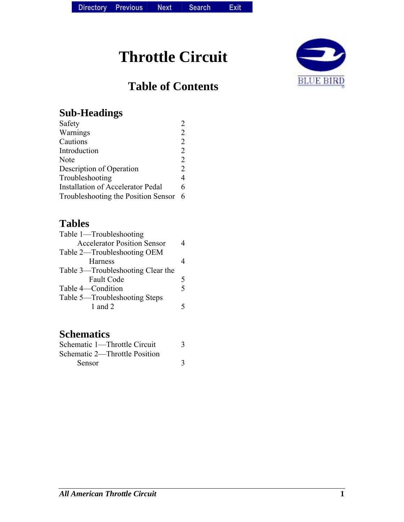# **Throttle Circuit**

# **Table of Contents**



### **Sub-Headings**

| Safety                                   |                |
|------------------------------------------|----------------|
| Warnings                                 | $\mathfrak{D}$ |
| Cautions                                 | 2              |
| Introduction                             | 2              |
| Note                                     | 2              |
| Description of Operation                 | $\overline{2}$ |
| Troubleshooting                          | $\overline{4}$ |
| <b>Installation of Accelerator Pedal</b> | 6              |
| Troubleshooting the Position Sensor      | 6              |
|                                          |                |

### **Tables**

| Table 1—Troubleshooting            |   |
|------------------------------------|---|
| <b>Accelerator Position Sensor</b> |   |
| Table 2—Troubleshooting OEM        |   |
| <b>Harness</b>                     |   |
| Table 3—Troubleshooting Clear the  |   |
| <b>Fault Code</b>                  |   |
| Table 4—Condition                  | 5 |
| Table 5—Troubleshooting Steps      |   |
| 1 and $2$                          |   |
|                                    |   |

### **Schematics**

| Schematic 1—Throttle Circuit  |  |
|-------------------------------|--|
| Schematic 2—Throttle Position |  |
| <b>Sensor</b>                 |  |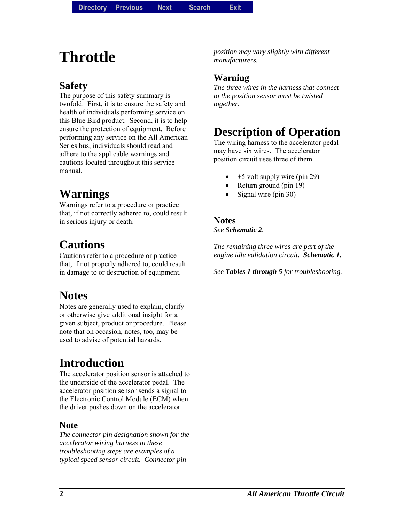# **Throttle**

### **Safety**

The purpose of this safety summary is twofold. First, it is to ensure the safety and health of individuals performing service on this Blue Bird product. Second, it is to help ensure the protection of equipment. Before performing any service on the All American Series bus, individuals should read and adhere to the applicable warnings and cautions located throughout this service manual.

# **Warnings**

Warnings refer to a procedure or practice that, if not correctly adhered to, could result in serious injury or death.

### **Cautions**

Cautions refer to a procedure or practice that, if not properly adhered to, could result in damage to or destruction of equipment.

# **Notes**

Notes are generally used to explain, clarify or otherwise give additional insight for a given subject, product or procedure. Please note that on occasion, notes, too, may be used to advise of potential hazards.

# **Introduction**

The accelerator position sensor is attached to the underside of the accelerator pedal. The accelerator position sensor sends a signal to the Electronic Control Module (ECM) when the driver pushes down on the accelerator.

#### **Note**

*The connector pin designation shown for the accelerator wiring harness in these troubleshooting steps are examples of a typical speed sensor circuit. Connector pin*

*position may vary slightly with different manufacturers.* 

#### **Warning**

*The three wires in the harness that connect to the position sensor must be twisted together.* 

### **Description of Operation**

The wiring harness to the accelerator pedal may have six wires. The accelerator position circuit uses three of them.

- +5 volt supply wire (pin 29)
- Return ground (pin 19)
- Signal wire (pin 30)

#### **Notes**  *See Schematic 2.*

*The remaining three wires are part of the engine idle validation circuit. Schematic 1.*

*See Tables 1 through 5 for troubleshooting.*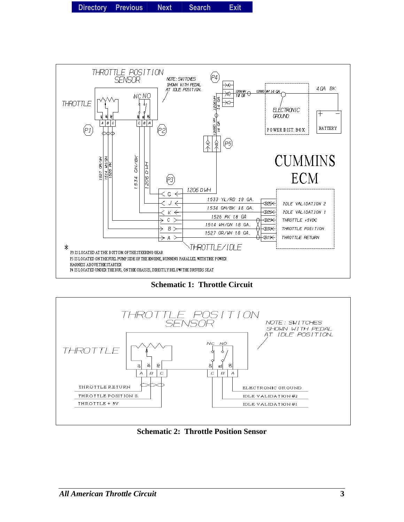

**Schematic 1: Throttle Circuit** 



**Schematic 2: Throttle Position Sensor**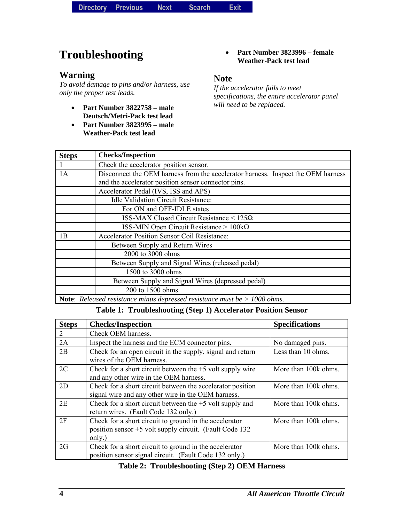| <b>Directory</b> | <b>Previous</b> | Next | <b>Search</b> | <b>Exit</b> |
|------------------|-----------------|------|---------------|-------------|
|------------------|-----------------|------|---------------|-------------|

# **Troubleshooting**

#### **Warning**

*To avoid damage to pins and/or harness, use only the proper test leads.* 

- **Part Number 3822758 male Deutsch/Metri-Pack test lead**
- **Part Number 3823995 male Weather-Pack test lead**

#### • **Part Number 3823996 – female Weather-Pack test lead**

#### **Note**

*If the accelerator fails to meet specifications, the entire accelerator panel will need to be replaced.* 

| <b>Steps</b> | <b>Checks/Inspection</b>                                                                                                                |
|--------------|-----------------------------------------------------------------------------------------------------------------------------------------|
|              | Check the accelerator position sensor.                                                                                                  |
| 1A           | Disconnect the OEM harness from the accelerator harness. Inspect the OEM harness<br>and the accelerator position sensor connector pins. |
|              | Accelerator Pedal (IVS, ISS and APS)                                                                                                    |
|              | <b>Idle Validation Circuit Resistance:</b>                                                                                              |
|              | For ON and OFF-IDLE states                                                                                                              |
|              | <b>ISS-MAX Closed Circuit Resistance &lt; <math>125\Omega</math></b>                                                                    |
|              | ISS-MIN Open Circuit Resistance > $100k\Omega$                                                                                          |
| 1B           | <b>Accelerator Position Sensor Coil Resistance:</b>                                                                                     |
|              | Between Supply and Return Wires                                                                                                         |
|              | 2000 to 3000 ohms                                                                                                                       |
|              | Between Supply and Signal Wires (released pedal)                                                                                        |
|              | 1500 to 3000 ohms                                                                                                                       |
|              | Between Supply and Signal Wires (depressed pedal)                                                                                       |
|              | 200 to 1500 ohms                                                                                                                        |
|              | <b>Note:</b> Released resistance minus depressed resistance must be $> 1000$ ohms.                                                      |

### **Table 1: Troubleshooting (Step 1) Accelerator Position Sensor**

| <b>Steps</b> | <b>Checks/Inspection</b>                                                                                                     | <b>Specifications</b> |
|--------------|------------------------------------------------------------------------------------------------------------------------------|-----------------------|
| 2            | Check OEM harness.                                                                                                           |                       |
| 2A           | Inspect the harness and the ECM connector pins.                                                                              | No damaged pins.      |
| 2B           | Check for an open circuit in the supply, signal and return<br>wires of the OEM harness.                                      | Less than 10 ohms.    |
| 2C           | Check for a short circuit between the $+5$ volt supply wire<br>and any other wire in the OEM harness.                        | More than 100k ohms.  |
| 2D           | Check for a short circuit between the accelerator position<br>signal wire and any other wire in the OEM harness.             | More than 100k ohms.  |
| 2E           | Check for a short circuit between the $+5$ volt supply and<br>return wires. (Fault Code 132 only.)                           | More than 100k ohms.  |
| 2F           | Check for a short circuit to ground in the accelerator<br>position sensor +5 volt supply circuit. (Fault Code 132)<br>only.) | More than 100k ohms.  |
| 2G           | Check for a short circuit to ground in the accelerator<br>position sensor signal circuit. (Fault Code 132 only.)             | More than 100k ohms.  |

#### **Table 2: Troubleshooting (Step 2) OEM Harness**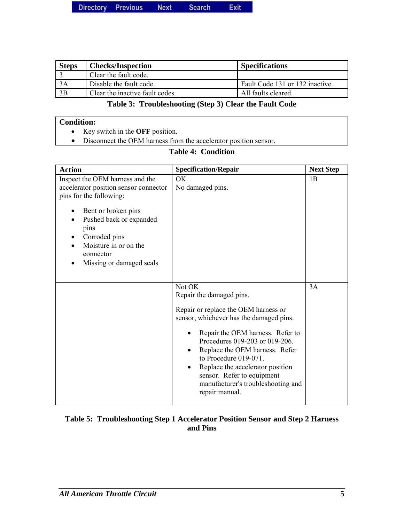|  | Directory Previous | <b>Next</b> | <b>Search</b> | Exit |
|--|--------------------|-------------|---------------|------|
|--|--------------------|-------------|---------------|------|

| <b>Steps</b> | <b>Checks/Inspection</b>        | <b>Specifications</b>           |
|--------------|---------------------------------|---------------------------------|
|              | Clear the fault code.           |                                 |
| 3A           | Disable the fault code.         | Fault Code 131 or 132 inactive. |
| 3B           | Clear the inactive fault codes. | All faults cleared.             |

#### **Table 3: Troubleshooting (Step 3) Clear the Fault Code**

#### **Condition:**

- Key switch in the **OFF** position.
- Disconnect the OEM harness from the accelerator position sensor.

### **Table 4: Condition**

| <b>Action</b>                                                                                                                                                                                                                                              | <b>Specification/Repair</b>                                                                                                                                                                                                                                                                                                                                                                                | <b>Next Step</b> |
|------------------------------------------------------------------------------------------------------------------------------------------------------------------------------------------------------------------------------------------------------------|------------------------------------------------------------------------------------------------------------------------------------------------------------------------------------------------------------------------------------------------------------------------------------------------------------------------------------------------------------------------------------------------------------|------------------|
| Inspect the OEM harness and the<br>accelerator position sensor connector<br>pins for the following:<br>Bent or broken pins<br>٠<br>Pushed back or expanded<br>٠<br>pins<br>Corroded pins<br>Moisture in or on the<br>connector<br>Missing or damaged seals | OK<br>No damaged pins.                                                                                                                                                                                                                                                                                                                                                                                     | 1B               |
|                                                                                                                                                                                                                                                            | Not OK<br>Repair the damaged pins.<br>Repair or replace the OEM harness or<br>sensor, whichever has the damaged pins.<br>Repair the OEM harness. Refer to<br>Procedures 019-203 or 019-206.<br>Replace the OEM harness. Refer<br>$\bullet$<br>to Procedure 019-071.<br>Replace the accelerator position<br>$\bullet$<br>sensor. Refer to equipment<br>manufacturer's troubleshooting and<br>repair manual. | 3A               |

#### **Table 5: Troubleshooting Step 1 Accelerator Position Sensor and Step 2 Harness and Pins**